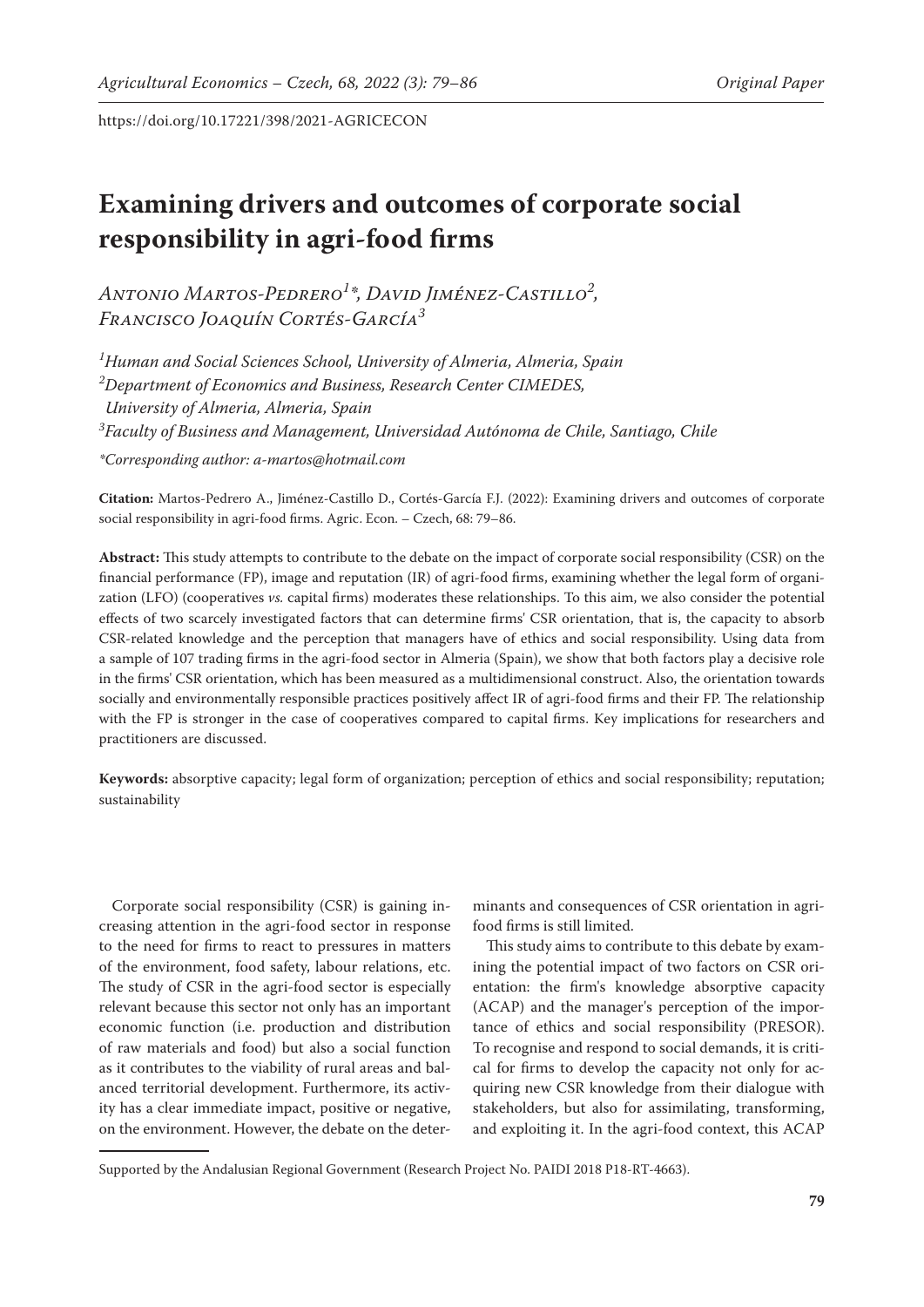# **Examining drivers and outcomes of corporate social responsibility in agri-food firms**

*Antonio Martos-Pedrero1 \*, David Jiménez-Castillo2 , Francisco Joaquín Cortés-García3*

*1 Human and Social Sciences School, University of Almeria, Almeria, Spain 2 Department of Economics and Business, Research Center CIMEDES, University of Almeria, Almeria, Spain 3 Faculty of Business and Management, Universidad Autónoma de Chile, Santiago, Chile \*Corresponding author: a-martos@hotmail.com*

**Citation:** Martos-Pedrero A., Jiménez-Castillo D., Cortés-García F.J. (2022): Examining drivers and outcomes of corporate social responsibility in agri-food firms. Agric. Econ. – Czech, 68: 79–86.

**Abstract:** This study attempts to contribute to the debate on the impact of corporate social responsibility (CSR) on the financial performance (FP), image and reputation (IR) of agri-food firms, examining whether the legal form of organization (LFO) (cooperatives *vs.* capital firms) moderates these relationships. To this aim, we also consider the potential effects of two scarcely investigated factors that can determine firms' CSR orientation, that is, the capacity to absorb CSR-related knowledge and the perception that managers have of ethics and social responsibility. Using data from a sample of 107 trading firms in the agri-food sector in Almeria (Spain), we show that both factors play a decisive role in the firms' CSR orientation, which has been measured as a multidimensional construct. Also, the orientation towards socially and environmentally responsible practices positively affect IR of agri-food firms and their FP. The relationship with the FP is stronger in the case of cooperatives compared to capital firms. Key implications for researchers and practitioners are discussed.

**Keywords:** absorptive capacity; legal form of organization; perception of ethics and social responsibility; reputation; sustainability

Corporate social responsibility (CSR) is gaining increasing attention in the agri-food sector in response to the need for firms to react to pressures in matters of the environment, food safety, labour relations, etc. The study of CSR in the agri-food sector is especially relevant because this sector not only has an important economic function (i.e. production and distribution of raw materials and food) but also a social function as it contributes to the viability of rural areas and balanced territorial development. Furthermore, its activity has a clear immediate impact, positive or negative, on the environment. However, the debate on the deter-

minants and consequences of CSR orientation in agrifood firms is still limited.

This study aims to contribute to this debate by examining the potential impact of two factors on CSR orientation: the firm's knowledge absorptive capacity (ACAP) and the manager's perception of the importance of ethics and social responsibility (PRESOR). To recognise and respond to social demands, it is critical for firms to develop the capacity not only for acquiring new CSR knowledge from their dialogue with stakeholders, but also for assimilating, transforming, and exploiting it. In the agri-food context, this ACAP

Supported by the Andalusian Regional Government (Research Project No. PAIDI 2018 P18-RT-4663).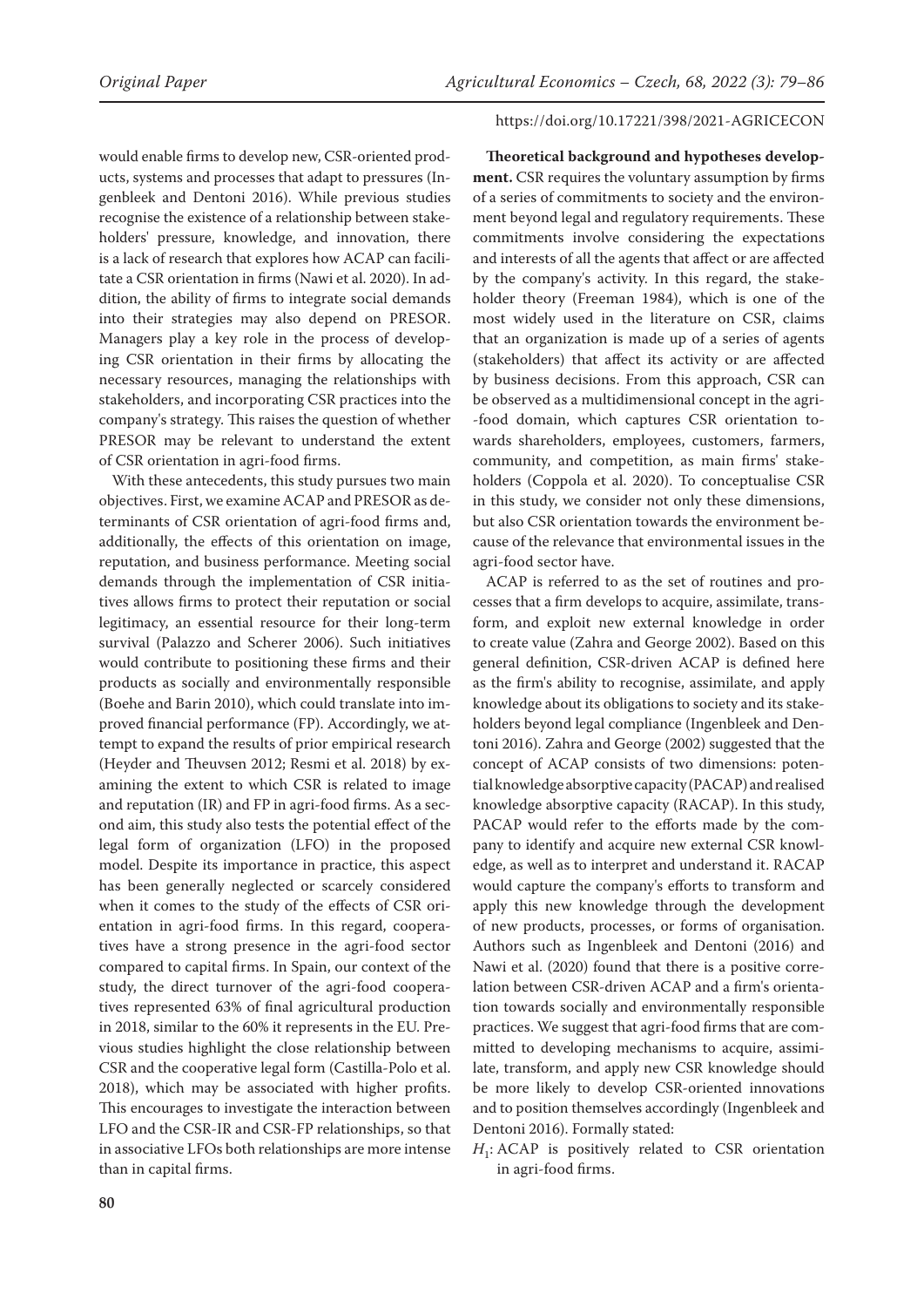## would enable firms to develop new, CSR-oriented products, systems and processes that adapt to pressures (Ingenbleek and Dentoni 2016). While previous studies recognise the existence of a relationship between stakeholders' pressure, knowledge, and innovation, there is a lack of research that explores how ACAP can facilitate a CSR orientation in firms (Nawi et al. 2020). In addition, the ability of firms to integrate social demands into their strategies may also depend on PRESOR. Managers play a key role in the process of developing CSR orientation in their firms by allocating the necessary resources, managing the relationships with stakeholders, and incorporating CSR practices into the company's strategy. This raises the question of whether PRESOR may be relevant to understand the extent of CSR orientation in agri-food firms.

With these antecedents, this study pursues two main objectives. First, we examine ACAP and PRESOR as determinants of CSR orientation of agri-food firms and, additionally, the effects of this orientation on image, reputation, and business performance. Meeting social demands through the implementation of CSR initiatives allows firms to protect their reputation or social legitimacy, an essential resource for their long-term survival (Palazzo and Scherer 2006). Such initiatives would contribute to positioning these firms and their products as socially and environmentally responsible (Boehe and Barin 2010), which could translate into improved financial performance (FP). Accordingly, we attempt to expand the results of prior empirical research (Heyder and Theuvsen 2012; Resmi et al. 2018) by examining the extent to which CSR is related to image and reputation (IR) and FP in agri-food firms. As a second aim, this study also tests the potential effect of the legal form of organization (LFO) in the proposed model. Despite its importance in practice, this aspect has been generally neglected or scarcely considered when it comes to the study of the effects of CSR orientation in agri-food firms. In this regard, cooperatives have a strong presence in the agri-food sector compared to capital firms. In Spain, our context of the study, the direct turnover of the agri-food cooperatives represented 63% of final agricultural production in 2018, similar to the 60% it represents in the EU. Previous studies highlight the close relationship between CSR and the cooperative legal form (Castilla-Polo et al. 2018), which may be associated with higher profits. This encourages to investigate the interaction between LFO and the CSR-IR and CSR-FP relationships, so that in associative LFOs both relationships are more intense than in capital firms.

#### https://doi.org/10.17221/398/2021-AGRICECON

**Theoretical background and hypotheses development.** CSR requires the voluntary assumption by firms of a series of commitments to society and the environment beyond legal and regulatory requirements. These commitments involve considering the expectations and interests of all the agents that affect or are affected by the company's activity. In this regard, the stakeholder theory (Freeman 1984), which is one of the most widely used in the literature on CSR, claims that an organization is made up of a series of agents (stakeholders) that affect its activity or are affected by business decisions. From this approach, CSR can be observed as a multidimensional concept in the agri- -food domain, which captures CSR orientation towards shareholders, employees, customers, farmers, community, and competition, as main firms' stakeholders (Coppola et al. 2020). To conceptualise CSR in this study, we consider not only these dimensions, but also CSR orientation towards the environment because of the relevance that environmental issues in the agri-food sector have.

ACAP is referred to as the set of routines and processes that a firm develops to acquire, assimilate, transform, and exploit new external knowledge in order to create value (Zahra and George 2002). Based on this general definition, CSR-driven ACAP is defined here as the firm's ability to recognise, assimilate, and apply knowledge about its obligations to society and its stakeholders beyond legal compliance (Ingenbleek and Dentoni 2016). Zahra and George (2002) suggested that the concept of ACAP consists of two dimensions: potential knowledge absorptive capacity (PACAP) and realised knowledge absorptive capacity (RACAP). In this study, PACAP would refer to the efforts made by the company to identify and acquire new external CSR knowledge, as well as to interpret and understand it. RACAP would capture the company's efforts to transform and apply this new knowledge through the development of new products, processes, or forms of organisation. Authors such as Ingenbleek and Dentoni (2016) and Nawi et al. (2020) found that there is a positive correlation between CSR-driven ACAP and a firm's orientation towards socially and environmentally responsible practices. We suggest that agri-food firms that are committed to developing mechanisms to acquire, assimilate, transform, and apply new CSR knowledge should be more likely to develop CSR-oriented innovations and to position themselves accordingly (Ingenbleek and Dentoni 2016). Formally stated:

*H*<sub>1</sub>: ACAP is positively related to CSR orientation in agri-food firms.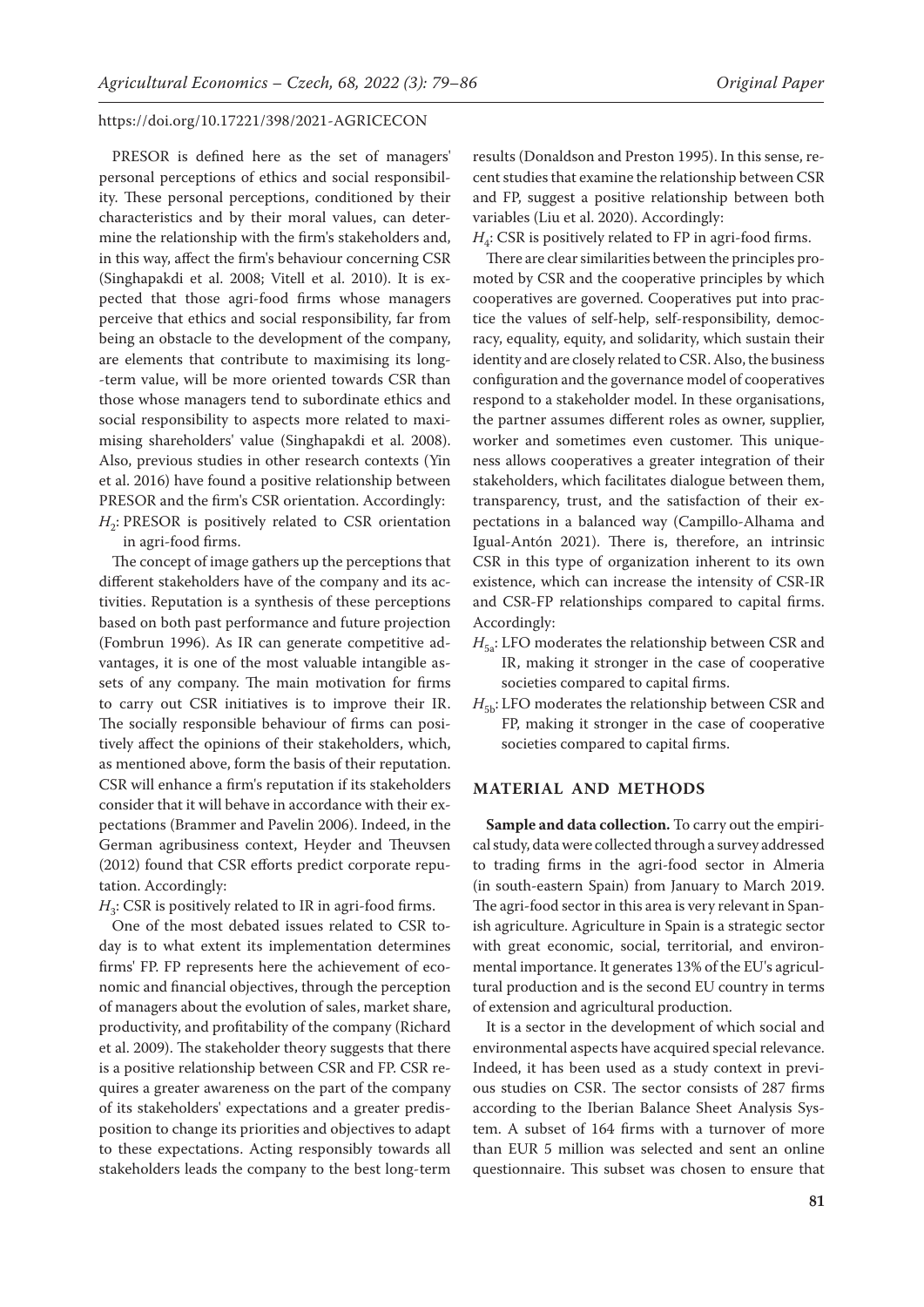PRESOR is defined here as the set of managers' personal perceptions of ethics and social responsibility. These personal perceptions, conditioned by their characteristics and by their moral values, can determine the relationship with the firm's stakeholders and, in this way, affect the firm's behaviour concerning CSR (Singhapakdi et al. 2008; Vitell et al. 2010). It is expected that those agri-food firms whose managers perceive that ethics and social responsibility, far from being an obstacle to the development of the company, are elements that contribute to maximising its long- -term value, will be more oriented towards CSR than those whose managers tend to subordinate ethics and social responsibility to aspects more related to maximising shareholders' value (Singhapakdi et al. 2008). Also, previous studies in other research contexts (Yin et al. 2016) have found a positive relationship between PRESOR and the firm's CSR orientation. Accordingly:  $H<sub>2</sub>$ : PRESOR is positively related to CSR orientation

in agri-food firms.

The concept of image gathers up the perceptions that different stakeholders have of the company and its activities. Reputation is a synthesis of these perceptions based on both past performance and future projection (Fombrun 1996). As IR can generate competitive advantages, it is one of the most valuable intangible assets of any company. The main motivation for firms to carry out CSR initiatives is to improve their IR. The socially responsible behaviour of firms can positively affect the opinions of their stakeholders, which, as mentioned above, form the basis of their reputation. CSR will enhance a firm's reputation if its stakeholders consider that it will behave in accordance with their expectations (Brammer and Pavelin 2006). Indeed, in the German agribusiness context, Heyder and Theuvsen (2012) found that CSR efforts predict corporate reputation. Accordingly:

 $H_3$ : CSR is positively related to IR in agri-food firms.

One of the most debated issues related to CSR today is to what extent its implementation determines firms' FP. FP represents here the achievement of economic and financial objectives, through the perception of managers about the evolution of sales, market share, productivity, and profitability of the company (Richard et al. 2009). The stakeholder theory suggests that there is a positive relationship between CSR and FP. CSR requires a greater awareness on the part of the company of its stakeholders' expectations and a greater predisposition to change its priorities and objectives to adapt to these expectations. Acting responsibly towards all stakeholders leads the company to the best long-term results (Donaldson and Preston 1995). In this sense, recent studies that examine the relationship between CSR and FP, suggest a positive relationship between both variables (Liu et al. 2020). Accordingly:

 $H_a$ : CSR is positively related to FP in agri-food firms.

There are clear similarities between the principles promoted by CSR and the cooperative principles by which cooperatives are governed. Cooperatives put into practice the values of self-help, self-responsibility, democracy, equality, equity, and solidarity, which sustain their identity and are closely related to CSR. Also, the business configuration and the governance model of cooperatives respond to a stakeholder model. In these organisations, the partner assumes different roles as owner, supplier, worker and sometimes even customer. This uniqueness allows cooperatives a greater integration of their stakeholders, which facilitates dialogue between them, transparency, trust, and the satisfaction of their expectations in a balanced way (Campillo-Alhama and Igual-Antón 2021). There is, therefore, an intrinsic CSR in this type of organization inherent to its own existence, which can increase the intensity of CSR-IR and CSR-FP relationships compared to capital firms. Accordingly:

- $H_{5a}$ : LFO moderates the relationship between CSR and IR, making it stronger in the case of cooperative societies compared to capital firms.
- $H_{5b}$ : LFO moderates the relationship between CSR and FP, making it stronger in the case of cooperative societies compared to capital firms.

## **MATERIAL AND METHODS**

**Sample and data collection.** To carry out the empirical study, data were collected through a survey addressed to trading firms in the agri-food sector in Almeria (in south-eastern Spain) from January to March 2019. The agri-food sector in this area is very relevant in Spanish agriculture. Agriculture in Spain is a strategic sector with great economic, social, territorial, and environmental importance. It generates 13% of the EU's agricultural production and is the second EU country in terms of extension and agricultural production.

It is a sector in the development of which social and environmental aspects have acquired special relevance. Indeed, it has been used as a study context in previous studies on CSR. The sector consists of 287 firms according to the Iberian Balance Sheet Analysis System. A subset of 164 firms with a turnover of more than EUR 5 million was selected and sent an online questionnaire. This subset was chosen to ensure that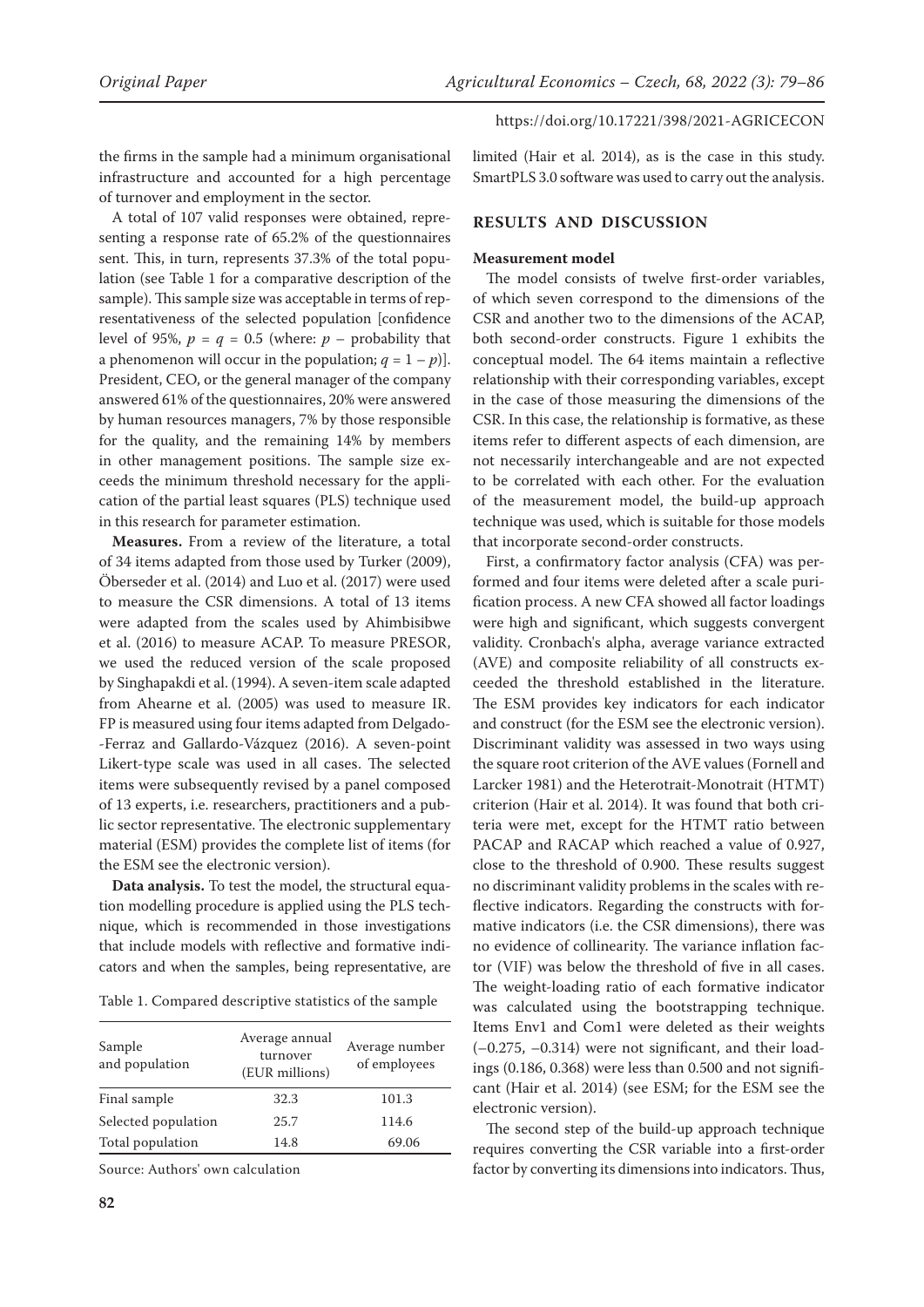the firms in the sample had a minimum organisational infrastructure and accounted for a high percentage of turnover and employment in the sector.

A total of 107 valid responses were obtained, representing a response rate of 65.2% of the questionnaires sent. This, in turn, represents 37.3% of the total population (see Table 1 for a comparative description of the sample). This sample size was acceptable in terms of representativeness of the selected population [confidence level of 95%,  $p = q = 0.5$  (where:  $p -$  probability that a phenomenon will occur in the population;  $q = 1 - p$ ]. President, CEO, or the general manager of the company answered 61% of the questionnaires, 20% were answered by human resources managers, 7% by those responsible for the quality, and the remaining 14% by members in other management positions. The sample size exceeds the minimum threshold necessary for the application of the partial least squares (PLS) technique used in this research for parameter estimation.

**Measures.** From a review of the literature, a total of 34 items adapted from those used by Turker (2009), Öberseder et al. (2014) and Luo et al. (2017) were used to measure the CSR dimensions. A total of 13 items were adapted from the scales used by Ahimbisibwe et al. (2016) to measure ACAP. To measure PRESOR, we used the reduced version of the scale proposed by Singhapakdi et al. (1994). A seven-item scale adapted from Ahearne et al. (2005) was used to measure IR. FP is measured using four items adapted from Delgado- -Ferraz and Gallardo-Vázquez (2016). A seven-point Likert-type scale was used in all cases. The selected items were subsequently revised by a panel composed of 13 experts, i.e. researchers, practitioners and a public sector representative. The electronic supplementary material (ESM) provides the complete list of items ([for](https://www.agriculturejournals.cz/web/agricecon.htm?type=easForDoiArticle&id=398_2021-AGRICECON)  [the ESM see the electronic version\)](https://www.agriculturejournals.cz/web/agricecon.htm?type=easForDoiArticle&id=398_2021-AGRICECON).

**Data analysis.** To test the model, the structural equation modelling procedure is applied using the PLS technique, which is recommended in those investigations that include models with reflective and formative indicators and when the samples, being representative, are

Table 1. Compared descriptive statistics of the sample

| Sample<br>and population | Average annual<br>turnover<br>(EUR millions) | Average number<br>of employees |
|--------------------------|----------------------------------------------|--------------------------------|
| Final sample             | 32.3                                         | 101.3                          |
| Selected population      | 25.7                                         | 114.6                          |
| Total population         | 14.8                                         | 69.06                          |

Source: Authors' own calculation

limited (Hair et al. 2014), as is the case in this study. SmartPLS 3.0 software was used to carry out the analysis.

## **RESULTS AND DISCUSSION**

### **Measurement model**

The model consists of twelve first-order variables, of which seven correspond to the dimensions of the CSR and another two to the dimensions of the ACAP, both second-order constructs. Figure 1 exhibits the conceptual model. The 64 items maintain a reflective relationship with their corresponding variables, except in the case of those measuring the dimensions of the CSR. In this case, the relationship is formative, as these items refer to different aspects of each dimension, are not necessarily interchangeable and are not expected to be correlated with each other. For the evaluation of the measurement model, the build-up approach technique was used, which is suitable for those models that incorporate second-order constructs.

First, a confirmatory factor analysis (CFA) was performed and four items were deleted after a scale purification process. A new CFA showed all factor loadings were high and significant, which suggests convergent validity. Cronbach's alpha, average variance extracted (AVE) and composite reliability of all constructs exceeded the threshold established in the literature. The ESM provides key indicators for each indicator and construct ([for the ESM see the electronic version\)](https://www.agriculturejournals.cz/web/agricecon.htm?type=easForDoiArticle&id=398_2021-AGRICECON). Discriminant validity was assessed in two ways using the square root criterion of the AVE values (Fornell and Larcker 1981) and the Heterotrait-Monotrait (HTMT) criterion (Hair et al. 2014). It was found that both criteria were met, except for the HTMT ratio between PACAP and RACAP which reached a value of 0.927, close to the threshold of 0.900. These results suggest no discriminant validity problems in the scales with reflective indicators. Regarding the constructs with formative indicators (i.e. the CSR dimensions), there was no evidence of collinearity. The variance inflation factor (VIF) was below the threshold of five in all cases. The weight-loading ratio of each formative indicator was calculated using the bootstrapping technique. Items Env1 and Com1 were deleted as their weights  $(-0.275, -0.314)$  were not significant, and their loadings (0.186, 0.368) were less than 0.500 and not significant (Hair et al. 2014) (see ESM; [for the ESM see the](https://www.agriculturejournals.cz/web/agricecon.htm?type=easForDoiArticle&id=398_2021-AGRICECON)  [electronic version\)](https://www.agriculturejournals.cz/web/agricecon.htm?type=easForDoiArticle&id=398_2021-AGRICECON).

The second step of the build-up approach technique requires converting the CSR variable into a first-order factor by converting its dimensions into indicators. Thus,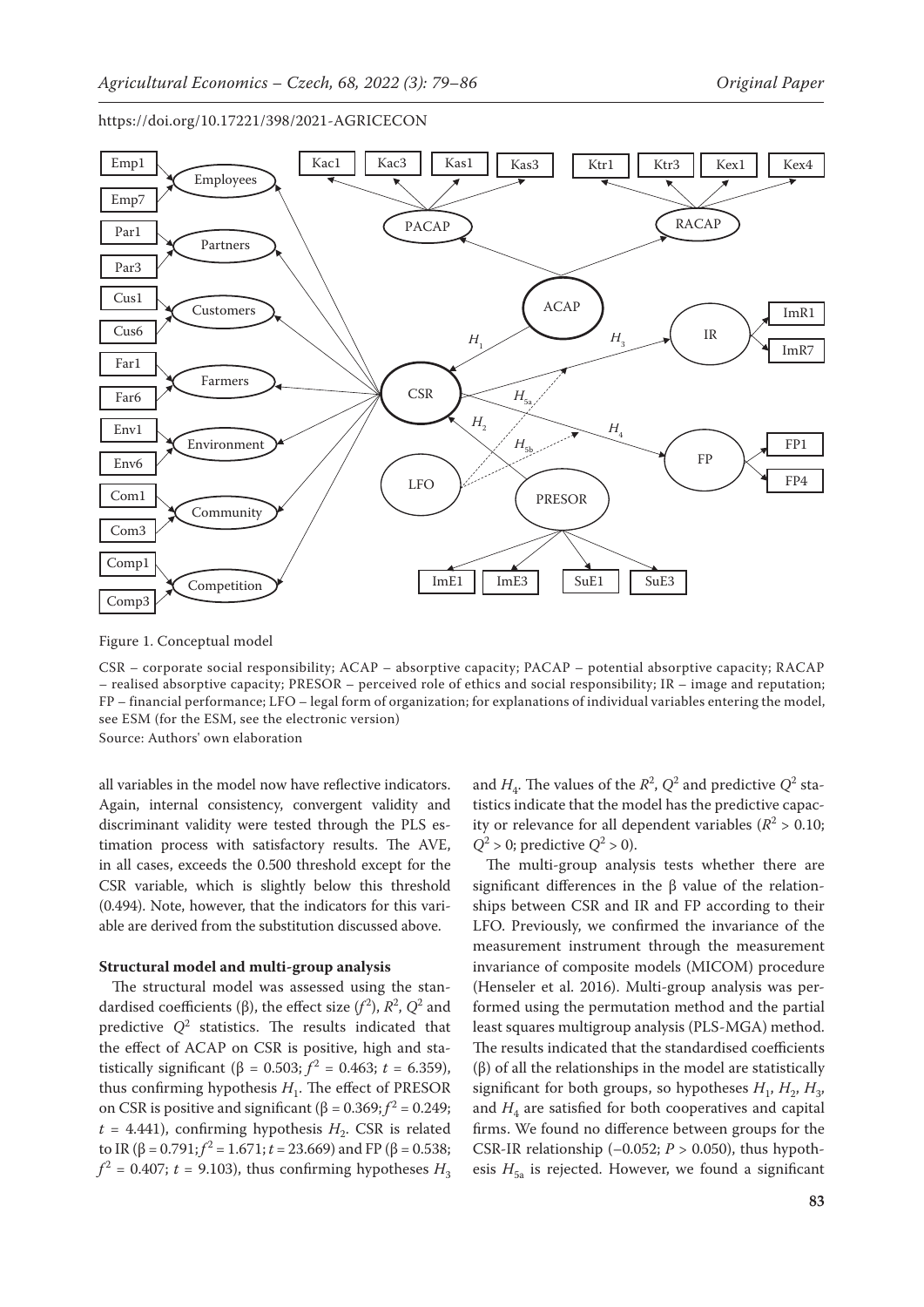

Figure 1. Conceptual model

CSR – corporate social responsibility; ACAP – absorptive capacity; PACAP – potential absorptive capacity; RACAP – realised absorptive capacity; PRESOR – perceived role of ethics and social responsibility; IR – image and reputation; FP – financial performance; LFO – legal form of organization; for explanations of individual variables entering the model, see ESM ([for the ESM, see the electronic version\)](https://www.agriculturejournals.cz/web/agricecon.htm?type=easForDoiArticle&id=398_2021-AGRICECON)

Source: Authors' own elaboration

all variables in the model now have reflective indicators. Again, internal consistency, convergent validity and discriminant validity were tested through the PLS estimation process with satisfactory results. The AVE, in all cases, exceeds the 0.500 threshold except for the CSR variable, which is slightly below this threshold (0.494). Note, however, that the indicators for this variable are derived from the substitution discussed above.

### **Structural model and multi-group analysis**

The structural model was assessed using the standardised coefficients ( $\beta$ ), the effect size ( $f^2$ ),  $R^2$ ,  $Q^2$  and predictive  $Q^2$  statistics. The results indicated that the effect of ACAP on CSR is positive, high and statistically significant ( $\beta$  = 0.503;  $f^2$  = 0.463;  $t$  = 6.359), thus confirming hypothesis  $H_1$ . The effect of PRESOR on CSR is positive and significant (β =  $0.369$ ;  $f^2$  =  $0.249$ ;  $t = 4.441$ ), confirming hypothesis  $H<sub>2</sub>$ . CSR is related to IR ( $\beta$  = 0.791;  $f^2$  = 1.671;  $t$  = 23.669) and FP ( $\beta$  = 0.538;  $f^2$  = 0.407; *t* = 9.103), thus confirming hypotheses  $H_3$ 

and  $H_4$ . The values of the  $R^2$ ,  $Q^2$  and predictive  $Q^2$  statistics indicate that the model has the predictive capacity or relevance for all dependent variables ( $R^2 > 0.10$ ;  $Q^2 > 0$ ; predictive  $Q^2 > 0$ ).

The multi-group analysis tests whether there are significant differences in the β value of the relationships between CSR and IR and FP according to their LFO. Previously, we confirmed the invariance of the measurement instrument through the measurement invariance of composite models (MICOM) procedure (Henseler et al. 2016). Multi-group analysis was performed using the permutation method and the partial least squares multigroup analysis (PLS-MGA) method. The results indicated that the standardised coefficients (β) of all the relationships in the model are statistically significant for both groups, so hypotheses  $H_1$ ,  $H_2$ ,  $H_3$ , and  $H_4$  are satisfied for both cooperatives and capital firms. We found no difference between groups for the CSR-IR relationship  $(-0.052; P > 0.050)$ , thus hypothesis  $H_{5a}$  is rejected. However, we found a significant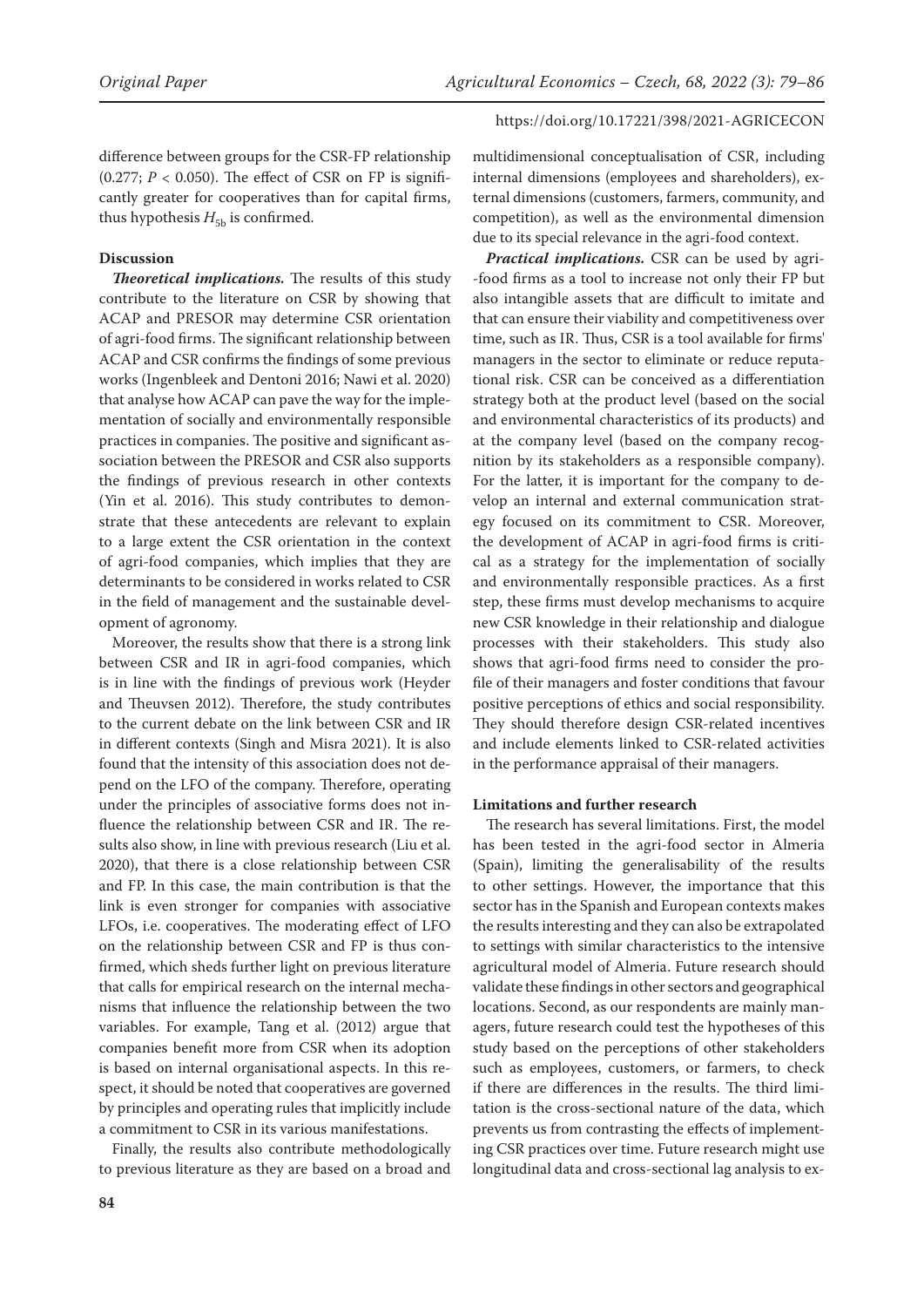difference between groups for the CSR-FP relationship (0.277;  $P < 0.050$ ). The effect of CSR on FP is significantly greater for cooperatives than for capital firms, thus hypothesis  $H_{5b}$  is confirmed.

## **Discussion**

*Theoretical implications.* The results of this study contribute to the literature on CSR by showing that ACAP and PRESOR may determine CSR orientation of agri-food firms. The significant relationship between ACAP and CSR confirms the findings of some previous works (Ingenbleek and Dentoni 2016; Nawi et al. 2020) that analyse how ACAP can pave the way for the implementation of socially and environmentally responsible practices in companies. The positive and significant association between the PRESOR and CSR also supports the findings of previous research in other contexts (Yin et al. 2016). This study contributes to demonstrate that these antecedents are relevant to explain to a large extent the CSR orientation in the context of agri-food companies, which implies that they are determinants to be considered in works related to CSR in the field of management and the sustainable development of agronomy.

Moreover, the results show that there is a strong link between CSR and IR in agri-food companies, which is in line with the findings of previous work (Heyder and Theuvsen 2012). Therefore, the study contributes to the current debate on the link between CSR and IR in different contexts (Singh and Misra 2021). It is also found that the intensity of this association does not depend on the LFO of the company. Therefore, operating under the principles of associative forms does not influence the relationship between CSR and IR. The results also show, in line with previous research (Liu et al. 2020), that there is a close relationship between CSR and FP. In this case, the main contribution is that the link is even stronger for companies with associative LFOs, i.e. cooperatives. The moderating effect of LFO on the relationship between CSR and FP is thus confirmed, which sheds further light on previous literature that calls for empirical research on the internal mechanisms that influence the relationship between the two variables. For example, Tang et al. (2012) argue that companies benefit more from CSR when its adoption is based on internal organisational aspects. In this respect, it should be noted that cooperatives are governed by principles and operating rules that implicitly include a commitment to CSR in its various manifestations.

Finally, the results also contribute methodologically to previous literature as they are based on a broad and

multidimensional conceptualisation of CSR, including internal dimensions (employees and shareholders), external dimensions (customers, farmers, community, and competition), as well as the environmental dimension due to its special relevance in the agri-food context.

*Practical implications.* CSR can be used by agri- -food firms as a tool to increase not only their FP but also intangible assets that are difficult to imitate and that can ensure their viability and competitiveness over time, such as IR. Thus, CSR is a tool available for firms' managers in the sector to eliminate or reduce reputational risk. CSR can be conceived as a differentiation strategy both at the product level (based on the social and environmental characteristics of its products) and at the company level (based on the company recognition by its stakeholders as a responsible company). For the latter, it is important for the company to develop an internal and external communication strategy focused on its commitment to CSR. Moreover, the development of ACAP in agri-food firms is critical as a strategy for the implementation of socially and environmentally responsible practices. As a first step, these firms must develop mechanisms to acquire new CSR knowledge in their relationship and dialogue processes with their stakeholders. This study also shows that agri-food firms need to consider the profile of their managers and foster conditions that favour positive perceptions of ethics and social responsibility. They should therefore design CSR-related incentives and include elements linked to CSR-related activities in the performance appraisal of their managers.

#### **Limitations and further research**

The research has several limitations. First, the model has been tested in the agri-food sector in Almeria (Spain), limiting the generalisability of the results to other settings. However, the importance that this sector has in the Spanish and European contexts makes the results interesting and they can also be extrapolated to settings with similar characteristics to the intensive agricultural model of Almeria. Future research should validate these findings in other sectors and geographical locations. Second, as our respondents are mainly managers, future research could test the hypotheses of this study based on the perceptions of other stakeholders such as employees, customers, or farmers, to check if there are differences in the results. The third limitation is the cross-sectional nature of the data, which prevents us from contrasting the effects of implementing CSR practices over time. Future research might use longitudinal data and cross-sectional lag analysis to ex-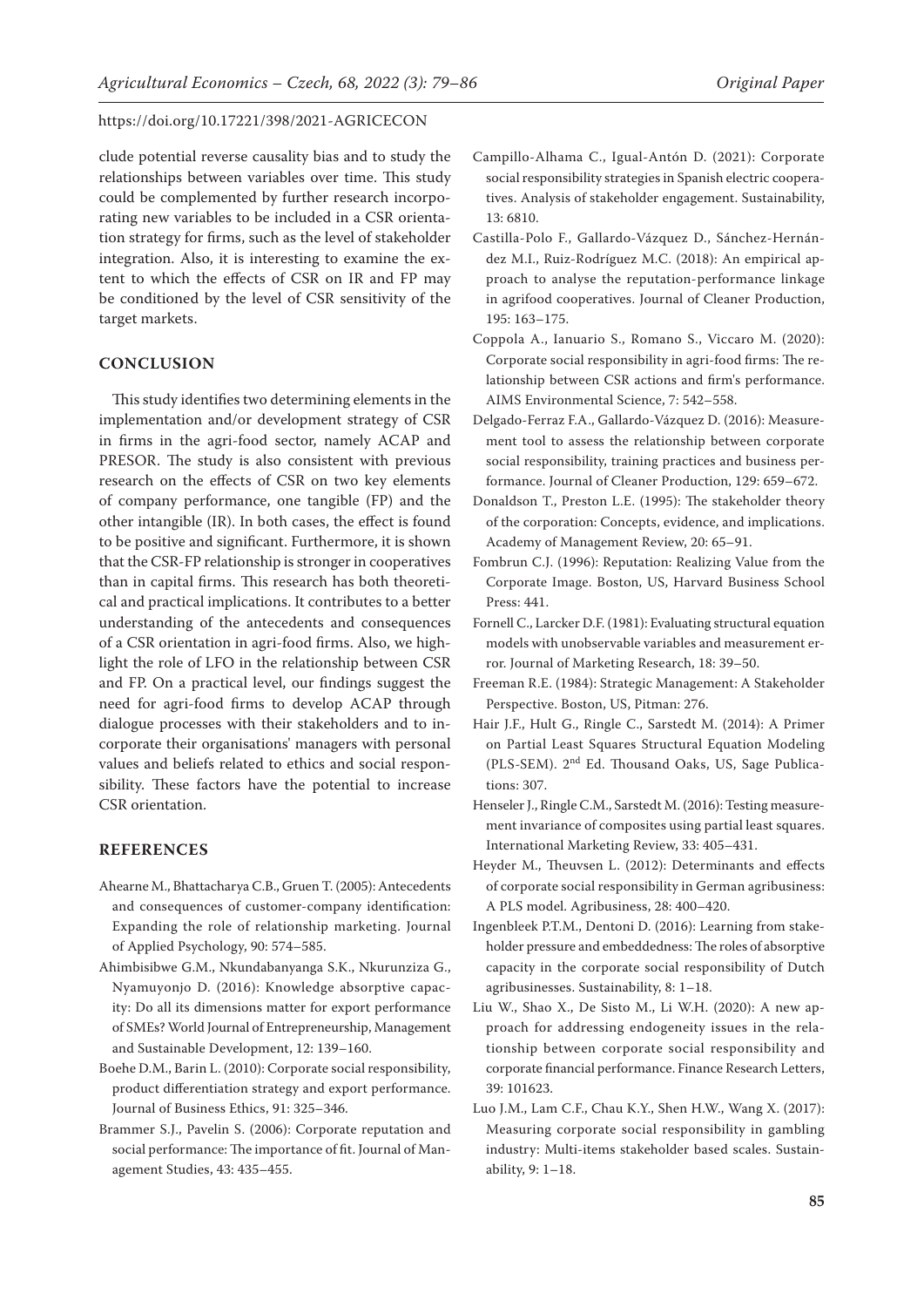clude potential reverse causality bias and to study the relationships between variables over time. This study could be complemented by further research incorporating new variables to be included in a CSR orientation strategy for firms, such as the level of stakeholder integration. Also, it is interesting to examine the extent to which the effects of CSR on IR and FP may be conditioned by the level of CSR sensitivity of the target markets.

## **CONCLUSION**

This study identifies two determining elements in the implementation and/or development strategy of CSR in firms in the agri-food sector, namely ACAP and PRESOR. The study is also consistent with previous research on the effects of CSR on two key elements of company performance, one tangible (FP) and the other intangible (IR). In both cases, the effect is found to be positive and significant. Furthermore, it is shown that the CSR-FP relationship is stronger in cooperatives than in capital firms. This research has both theoretical and practical implications. It contributes to a better understanding of the antecedents and consequences of a CSR orientation in agri-food firms. Also, we highlight the role of LFO in the relationship between CSR and FP. On a practical level, our findings suggest the need for agri-food firms to develop ACAP through dialogue processes with their stakeholders and to incorporate their organisations' managers with personal values and beliefs related to ethics and social responsibility. These factors have the potential to increase CSR orientation.

## **REFERENCES**

- Ahearne M., Bhattacharya C.B., Gruen T. (2005): Antecedents and consequences of customer-company identification: Expanding the role of relationship marketing. Journal of Applied Psychology, 90: 574–585.
- Ahimbisibwe G.M., Nkundabanyanga S.K., Nkurunziza G., Nyamuyonjo D. (2016): Knowledge absorptive capacity: Do all its dimensions matter for export performance of SMEs? World Journal of Entrepreneurship, Management and Sustainable Development, 12: 139–160.
- Boehe D.M., Barin L. (2010): Corporate social responsibility, product differentiation strategy and export performance. Journal of Business Ethics, 91: 325–346.
- Brammer S.J., Pavelin S. (2006): Corporate reputation and social performance: The importance of fit. Journal of Management Studies, 43: 435–455.
- Campillo-Alhama C., Igual-Antón D. (2021): Corporate social responsibility strategies in Spanish electric cooperatives. Analysis of stakeholder engagement. Sustainability, 13: 6810.
- Castilla-Polo F., Gallardo-Vázquez D., Sánchez-Hernández M.I., Ruiz-Rodríguez M.C. (2018): An empirical approach to analyse the reputation-performance linkage in agrifood cooperatives. Journal of Cleaner Production, 195: 163–175.
- Coppola A., Ianuario S., Romano S., Viccaro M. (2020): Corporate social responsibility in agri-food firms: The relationship between CSR actions and firm's performance. AIMS Environmental Science, 7: 542–558.
- Delgado-Ferraz F.A., Gallardo-Vázquez D. (2016): Measurement tool to assess the relationship between corporate social responsibility, training practices and business performance. Journal of Cleaner Production, 129: 659–672.
- Donaldson T., Preston L.E. (1995): The stakeholder theory of the corporation: Concepts, evidence, and implications. Academy of Management Review, 20: 65–91.
- Fombrun C.J. (1996): Reputation: Realizing Value from the Corporate Image. Boston, US, Harvard Business School Press: 441.
- Fornell C., Larcker D.F. (1981): Evaluating structural equation models with unobservable variables and measurement error. Journal of Marketing Research, 18: 39–50.
- Freeman R.E. (1984): Strategic Management: A Stakeholder Perspective. Boston, US, Pitman: 276.
- Hair J.F., Hult G., Ringle C., Sarstedt M. (2014): A Primer on Partial Least Squares Structural Equation Modeling (PLS-SEM). 2nd Ed. Thousand Oaks, US, Sage Publications: 307.
- Henseler J., Ringle C.M., Sarstedt M. (2016): Testing measurement invariance of composites using partial least squares. International Marketing Review, 33: 405–431.
- Heyder M., Theuvsen L. (2012): Determinants and effects of corporate social responsibility in German agribusiness: A PLS model. Agribusiness, 28: 400–420.
- Ingenbleek P.T.M., Dentoni D. (2016): Learning from stakeholder pressure and embeddedness: The roles of absorptive capacity in the corporate social responsibility of Dutch agribusinesses. Sustainability, 8: 1–18.
- Liu W., Shao X., De Sisto M., Li W.H. (2020): A new approach for addressing endogeneity issues in the relationship between corporate social responsibility and corporate financial performance. Finance Research Letters, 39: 101623.
- Luo J.M., Lam C.F., Chau K.Y., Shen H.W., Wang X. (2017): Measuring corporate social responsibility in gambling industry: Multi-items stakeholder based scales. Sustainability, 9: 1–18.